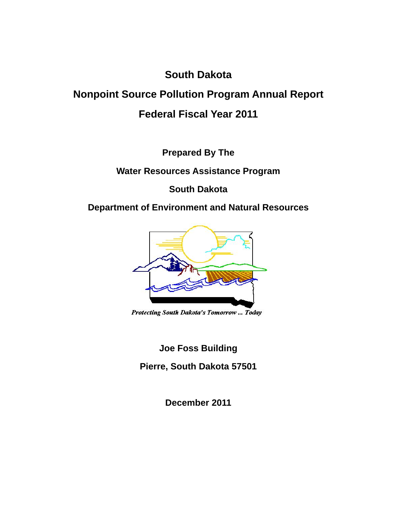## **South Dakota**

# **Nonpoint Source Pollution Program Annual Report Federal Fiscal Year 2011**

**Prepared By The** 

**Water Resources Assistance Program** 

**South Dakota** 

**Department of Environment and Natural Resources** 



Protecting South Dakota's Tomorrow ... Today

**Joe Foss Building** 

**Pierre, South Dakota 57501** 

**December 2011**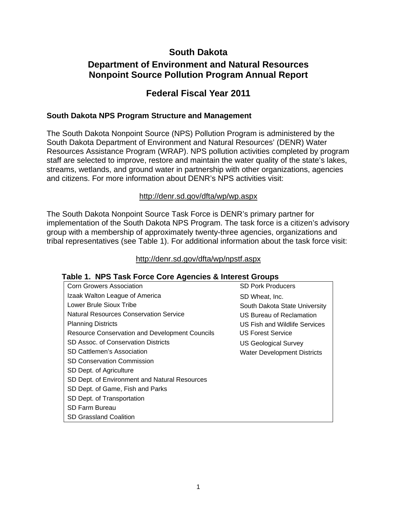## **South Dakota**

## **Department of Environment and Natural Resources Nonpoint Source Pollution Program Annual Report**

## **Federal Fiscal Year 2011**

#### **South Dakota NPS Program Structure and Management**

The South Dakota Nonpoint Source (NPS) Pollution Program is administered by the South Dakota Department of Environment and Natural Resources' (DENR) Water Resources Assistance Program (WRAP). NPS pollution activities completed by program staff are selected to improve, restore and maintain the water quality of the state's lakes, streams, wetlands, and ground water in partnership with other organizations, agencies and citizens. For more information about DENR's NPS activities visit:

#### http://denr.sd.gov/dfta/wp/wp.aspx

The South Dakota Nonpoint Source Task Force is DENR's primary partner for implementation of the South Dakota NPS Program. The task force is a citizen's advisory group with a membership of approximately twenty-three agencies, organizations and tribal representatives (see Table 1). For additional information about the task force visit:

#### http://denr.sd.gov/dfta/wp/npstf.aspx

#### **Table 1. NPS Task Force Core Agencies & Interest Groups**

| Corn Growers Association                              | <b>SD Pork Producers</b>             |
|-------------------------------------------------------|--------------------------------------|
| Izaak Walton League of America                        | SD Wheat, Inc.                       |
| Lower Brule Sioux Tribe                               | South Dakota State University        |
| <b>Natural Resources Conservation Service</b>         | US Bureau of Reclamation             |
| <b>Planning Districts</b>                             | <b>US Fish and Wildlife Services</b> |
| <b>Resource Conservation and Development Councils</b> | <b>US Forest Service</b>             |
| SD Assoc. of Conservation Districts                   | <b>US Geological Survey</b>          |
| SD Cattlemen's Association                            | <b>Water Development Districts</b>   |
| <b>SD Conservation Commission</b>                     |                                      |
| SD Dept. of Agriculture                               |                                      |
| SD Dept. of Environment and Natural Resources         |                                      |
| SD Dept. of Game, Fish and Parks                      |                                      |
| SD Dept. of Transportation                            |                                      |
| SD Farm Bureau                                        |                                      |
| SD Grassland Coalition                                |                                      |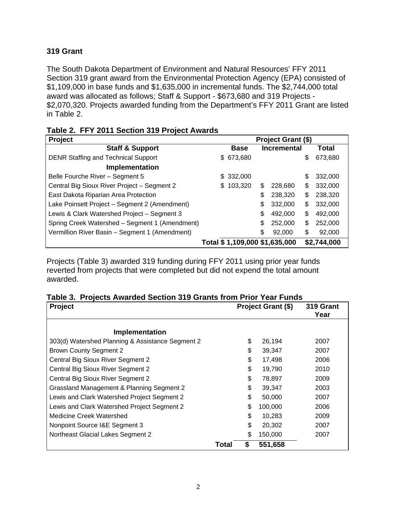## **319 Grant**

The South Dakota Department of Environment and Natural Resources' FFY 2011 Section 319 grant award from the Environmental Protection Agency (EPA) consisted of \$1,109,000 in base funds and \$1,635,000 in incremental funds. The \$2,744,000 total award was allocated as follows; Staff & Support - \$673,680 and 319 Projects - \$2,070,320. Projects awarded funding from the Department's FFY 2011 Grant are listed in Table 2.

| Project                                        | Project Grant (\$) |             |    |                               |    |             |
|------------------------------------------------|--------------------|-------------|----|-------------------------------|----|-------------|
| <b>Staff &amp; Support</b>                     |                    | <b>Base</b> |    | <b>Incremental</b>            |    | Total       |
| <b>DENR Staffing and Technical Support</b>     |                    | \$673,680   |    |                               | \$ | 673,680     |
| <b>Implementation</b>                          |                    |             |    |                               |    |             |
| Belle Fourche River - Segment 5                |                    | \$332,000   |    |                               | S  | 332,000     |
| Central Big Sioux River Project - Segment 2    | S                  | 103,320     | S  | 228,680                       | \$ | 332,000     |
| East Dakota Riparian Area Protection           |                    |             | \$ | 238,320                       | \$ | 238,320     |
| Lake Poinsett Project - Segment 2 (Amendment)  |                    |             | \$ | 332,000                       | \$ | 332,000     |
| Lewis & Clark Watershed Project - Segment 3    |                    |             | \$ | 492,000                       | \$ | 492,000     |
| Spring Creek Watershed - Segment 1 (Amendment) |                    |             | \$ | 252,000                       | \$ | 252,000     |
| Vermillion River Basin - Segment 1 (Amendment) |                    |             | \$ | 92,000                        | \$ | 92,000      |
|                                                |                    |             |    | Total \$1,109,000 \$1,635,000 |    | \$2,744,000 |

|  |  |  | Table 2. FFY 2011 Section 319 Project Awards |
|--|--|--|----------------------------------------------|
|--|--|--|----------------------------------------------|

Projects (Table 3) awarded 319 funding during FFY 2011 using prior year funds reverted from projects that were completed but did not expend the total amount awarded.

| Project                                          |       | Project Grant (\$) | 319 Grant<br>Year |
|--------------------------------------------------|-------|--------------------|-------------------|
| Implementation                                   |       |                    |                   |
| 303(d) Watershed Planning & Assistance Segment 2 |       | \$<br>26,194       | 2007              |
| <b>Brown County Segment 2</b>                    |       | \$<br>39,347       | 2007              |
| Central Big Sioux River Segment 2                |       | \$<br>17,498       | 2006              |
| Central Big Sioux River Segment 2                |       | \$<br>19,790       | 2010              |
| Central Big Sioux River Segment 2                |       | \$<br>78,897       | 2009              |
| Grassland Management & Planning Segment 2        |       | \$<br>39,347       | 2003              |
| Lewis and Clark Watershed Project Segment 2      |       | \$<br>50,000       | 2007              |
| Lewis and Clark Watershed Project Segment 2      |       | \$<br>100.000      | 2006              |
| Medicine Creek Watershed                         |       | \$<br>10,283       | 2009              |
| Nonpoint Source I&E Segment 3                    |       | \$<br>20,302       | 2007              |
| Northeast Glacial Lakes Segment 2                |       | \$<br>150,000      | 2007              |
|                                                  | Total | \$<br>551,658      |                   |

#### **Table 3. Projects Awarded Section 319 Grants from Prior Year Funds**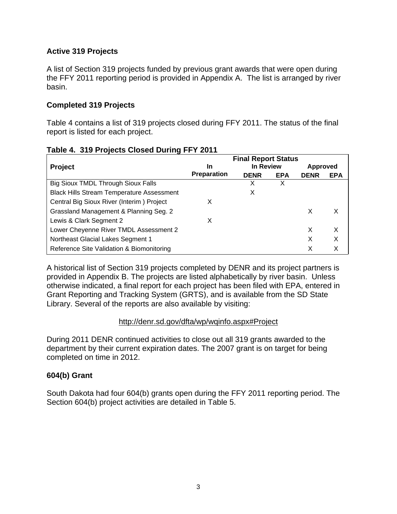## **Active 319 Projects**

A list of Section 319 projects funded by previous grant awards that were open during the FFY 2011 reporting period is provided in Appendix A. The list is arranged by river basin.

#### **Completed 319 Projects**

Table 4 contains a list of 319 projects closed during FFY 2011. The status of the final report is listed for each project.

|                                                  | <b>Final Report Status</b> |             |            |                 |            |
|--------------------------------------------------|----------------------------|-------------|------------|-----------------|------------|
| <b>Project</b>                                   | In                         | In Review   |            | <b>Approved</b> |            |
|                                                  | <b>Preparation</b>         | <b>DENR</b> | <b>EPA</b> | <b>DENR</b>     | <b>EPA</b> |
| Big Sioux TMDL Through Sioux Falls               |                            |             | x          |                 |            |
| <b>Black Hills Stream Temperature Assessment</b> |                            | X           |            |                 |            |
| Central Big Sioux River (Interim) Project        | х                          |             |            |                 |            |
| Grassland Management & Planning Seg. 2           |                            |             |            | X               | х          |
| Lewis & Clark Segment 2                          | x                          |             |            |                 |            |
| Lower Cheyenne River TMDL Assessment 2           |                            |             |            | X               | X          |
| Northeast Glacial Lakes Segment 1                |                            |             |            | X               | X          |
| Reference Site Validation & Biomonitoring        |                            |             |            | X               | Х          |

#### **Table 4. 319 Projects Closed During FFY 2011**

A historical list of Section 319 projects completed by DENR and its project partners is provided in Appendix B. The projects are listed alphabetically by river basin. Unless otherwise indicated, a final report for each project has been filed with EPA, entered in Grant Reporting and Tracking System (GRTS), and is available from the SD State Library. Several of the reports are also available by visiting:

#### http://denr.sd.gov/dfta/wp/wqinfo.aspx#Project

During 2011 DENR continued activities to close out all 319 grants awarded to the department by their current expiration dates. The 2007 grant is on target for being completed on time in 2012.

## **604(b) Grant**

South Dakota had four 604(b) grants open during the FFY 2011 reporting period. The Section 604(b) project activities are detailed in Table 5.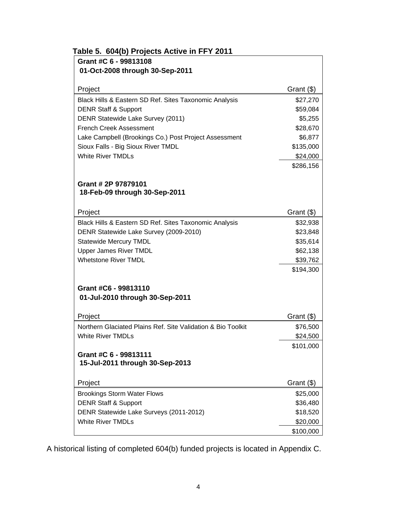| Grant #C 6 - 99813108                                        |              |
|--------------------------------------------------------------|--------------|
| 01-Oct-2008 through 30-Sep-2011                              |              |
| Project                                                      | Grant $(\$)$ |
| Black Hills & Eastern SD Ref. Sites Taxonomic Analysis       | \$27,270     |
| <b>DENR Staff &amp; Support</b>                              | \$59,084     |
| DENR Statewide Lake Survey (2011)                            | \$5,255      |
| <b>French Creek Assessment</b>                               | \$28,670     |
| Lake Campbell (Brookings Co.) Post Project Assessment        | \$6,877      |
| Sioux Falls - Big Sioux River TMDL                           | \$135,000    |
| <b>White River TMDLs</b>                                     | \$24,000     |
|                                                              | \$286,156    |
| Grant # 2P 97879101                                          |              |
| 18-Feb-09 through 30-Sep-2011                                |              |
| Project                                                      | Grant (\$)   |
| Black Hills & Eastern SD Ref. Sites Taxonomic Analysis       | \$32,938     |
| DENR Statewide Lake Survey (2009-2010)                       | \$23,848     |
| <b>Statewide Mercury TMDL</b>                                | \$35,614     |
| Upper James River TMDL                                       | \$62,138     |
| <b>Whetstone River TMDL</b>                                  | \$39,762     |
|                                                              | \$194,300    |
| Grant #C6 - 99813110                                         |              |
| 01-Jul-2010 through 30-Sep-2011                              |              |
| Project                                                      | Grant (\$)   |
| Northern Glaciated Plains Ref. Site Validation & Bio Toolkit | \$76,500     |
| White River TMDLs                                            | \$24,500     |
|                                                              | \$101,000    |
| Grant #C 6 - 99813111<br>15-Jul-2011 through 30-Sep-2013     |              |
| Project                                                      | Grant (\$)   |
| <b>Brookings Storm Water Flows</b>                           | \$25,000     |
| <b>DENR Staff &amp; Support</b>                              | \$36,480     |
| DENR Statewide Lake Surveys (2011-2012)                      | \$18,520     |
| <b>White River TMDLs</b>                                     | \$20,000     |
|                                                              |              |

A historical listing of completed 604(b) funded projects is located in Appendix C.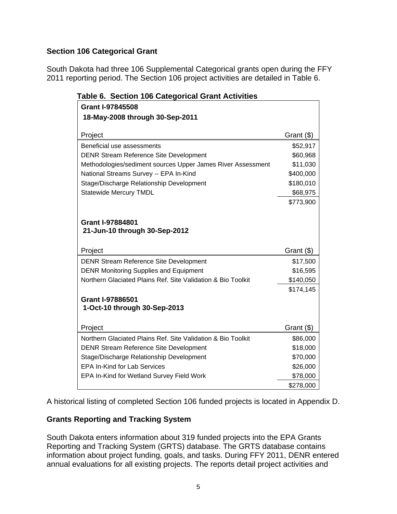## **Section 106 Categorical Grant**

South Dakota had three 106 Supplemental Categorical grants open during the FFY 2011 reporting period. The Section 106 project activities are detailed in Table 6.

| rable 6. Section Too Categorical Grant Activities            |            |
|--------------------------------------------------------------|------------|
| <b>Grant I-97845508</b>                                      |            |
| 18-May-2008 through 30-Sep-2011                              |            |
|                                                              |            |
| Project                                                      | Grant (\$) |
| Beneficial use assessments                                   | \$52,917   |
| <b>DENR Stream Reference Site Development</b>                | \$60,968   |
| Methodologies/sediment sources Upper James River Assessment  | \$11,030   |
| National Streams Survey -- EPA In-Kind                       | \$400,000  |
| Stage/Discharge Relationship Development                     | \$180,010  |
| <b>Statewide Mercury TMDL</b>                                | \$68,975   |
|                                                              | \$773,900  |
|                                                              |            |
| <b>Grant I-97884801</b>                                      |            |
| 21-Jun-10 through 30-Sep-2012                                |            |
|                                                              |            |
| Project                                                      | Grant (\$) |
| <b>DENR Stream Reference Site Development</b>                | \$17,500   |
| <b>DENR Monitoring Supplies and Equipment</b>                | \$16,595   |
| Northern Glaciated Plains Ref. Site Validation & Bio Toolkit | \$140,050  |
|                                                              | \$174,145  |
| <b>Grant I-97886501</b>                                      |            |
| 1-Oct-10 through 30-Sep-2013                                 |            |
|                                                              |            |
| Project                                                      | Grant (\$) |
| Northern Glaciated Plains Ref. Site Validation & Bio Toolkit | \$86,000   |
| <b>DENR Stream Reference Site Development</b>                | \$18,000   |
| Stage/Discharge Relationship Development                     | \$70,000   |
| <b>EPA In-Kind for Lab Services</b>                          | \$26,000   |
| EPA In-Kind for Wetland Survey Field Work                    | \$78,000   |
|                                                              | \$278,000  |

## **Table 6. Section 106 Categorical Grant Activities**

A historical listing of completed Section 106 funded projects is located in Appendix D.

## **Grants Reporting and Tracking System**

South Dakota enters information about 319 funded projects into the EPA Grants Reporting and Tracking System (GRTS) database. The GRTS database contains information about project funding, goals, and tasks. During FFY 2011, DENR entered annual evaluations for all existing projects. The reports detail project activities and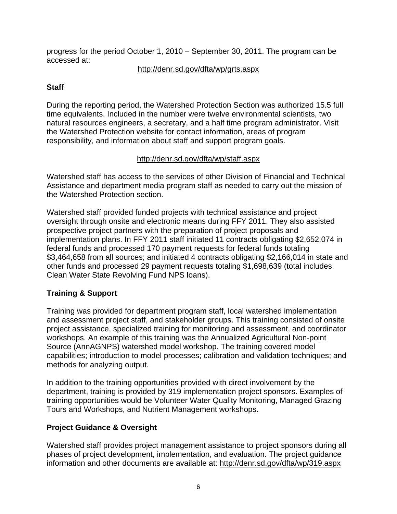progress for the period October 1, 2010 – September 30, 2011. The program can be accessed at:

## http://denr.sd.gov/dfta/wp/grts.aspx

## **Staff**

During the reporting period, the Watershed Protection Section was authorized 15.5 full time equivalents. Included in the number were twelve environmental scientists, two natural resources engineers, a secretary, and a half time program administrator. Visit the Watershed Protection website for contact information, areas of program responsibility, and information about staff and support program goals.

## http://denr.sd.gov/dfta/wp/staff.aspx

Watershed staff has access to the services of other Division of Financial and Technical Assistance and department media program staff as needed to carry out the mission of the Watershed Protection section.

Watershed staff provided funded projects with technical assistance and project oversight through onsite and electronic means during FFY 2011. They also assisted prospective project partners with the preparation of project proposals and implementation plans. In FFY 2011 staff initiated 11 contracts obligating \$2,652,074 in federal funds and processed 170 payment requests for federal funds totaling \$3,464,658 from all sources; and initiated 4 contracts obligating \$2,166,014 in state and other funds and processed 29 payment requests totaling \$1,698,639 (total includes Clean Water State Revolving Fund NPS loans).

## **Training & Support**

Training was provided for department program staff, local watershed implementation and assessment project staff, and stakeholder groups. This training consisted of onsite project assistance, specialized training for monitoring and assessment, and coordinator workshops. An example of this training was the Annualized Agricultural Non-point Source (AnnAGNPS) watershed model workshop. The training covered model capabilities; introduction to model processes; calibration and validation techniques; and methods for analyzing output.

In addition to the training opportunities provided with direct involvement by the department, training is provided by 319 implementation project sponsors. Examples of training opportunities would be Volunteer Water Quality Monitoring, Managed Grazing Tours and Workshops, and Nutrient Management workshops.

## **Project Guidance & Oversight**

Watershed staff provides project management assistance to project sponsors during all phases of project development, implementation, and evaluation. The project guidance information and other documents are available at: http://denr.sd.gov/dfta/wp/319.aspx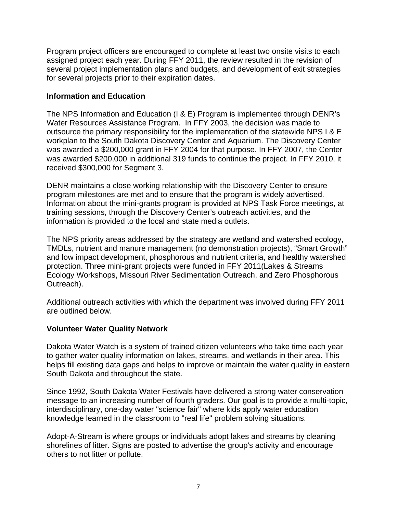Program project officers are encouraged to complete at least two onsite visits to each assigned project each year. During FFY 2011, the review resulted in the revision of several project implementation plans and budgets, and development of exit strategies for several projects prior to their expiration dates.

#### **Information and Education**

The NPS Information and Education (I & E) Program is implemented through DENR's Water Resources Assistance Program. In FFY 2003, the decision was made to outsource the primary responsibility for the implementation of the statewide NPS I & E workplan to the South Dakota Discovery Center and Aquarium. The Discovery Center was awarded a \$200,000 grant in FFY 2004 for that purpose. In FFY 2007, the Center was awarded \$200,000 in additional 319 funds to continue the project. In FFY 2010, it received \$300,000 for Segment 3.

DENR maintains a close working relationship with the Discovery Center to ensure program milestones are met and to ensure that the program is widely advertised. Information about the mini-grants program is provided at NPS Task Force meetings, at training sessions, through the Discovery Center's outreach activities, and the information is provided to the local and state media outlets.

The NPS priority areas addressed by the strategy are wetland and watershed ecology, TMDLs, nutrient and manure management (no demonstration projects), "Smart Growth" and low impact development, phosphorous and nutrient criteria, and healthy watershed protection. Three mini-grant projects were funded in FFY 2011(Lakes & Streams Ecology Workshops, Missouri River Sedimentation Outreach, and Zero Phosphorous Outreach).

Additional outreach activities with which the department was involved during FFY 2011 are outlined below.

#### **Volunteer Water Quality Network**

Dakota Water Watch is a system of trained citizen volunteers who take time each year to gather water quality information on lakes, streams, and wetlands in their area. This helps fill existing data gaps and helps to improve or maintain the water quality in eastern South Dakota and throughout the state.

Since 1992, South Dakota Water Festivals have delivered a strong water conservation message to an increasing number of fourth graders. Our goal is to provide a multi-topic, interdisciplinary, one-day water "science fair" where kids apply water education knowledge learned in the classroom to "real life" problem solving situations.

Adopt-A-Stream is where groups or individuals adopt lakes and streams by cleaning shorelines of litter. Signs are posted to advertise the group's activity and encourage others to not litter or pollute.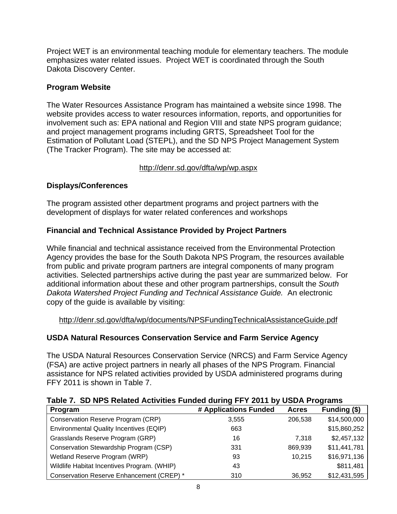Project WET is an environmental teaching module for elementary teachers. The module emphasizes water related issues. Project WET is coordinated through the South Dakota Discovery Center.

## **Program Website**

The Water Resources Assistance Program has maintained a website since 1998. The website provides access to water resources information, reports, and opportunities for involvement such as: EPA national and Region VIII and state NPS program guidance; and project management programs including GRTS, Spreadsheet Tool for the Estimation of Pollutant Load (STEPL), and the SD NPS Project Management System (The Tracker Program). The site may be accessed at:

## http://denr.sd.gov/dfta/wp/wp.aspx

## **Displays/Conferences**

The program assisted other department programs and project partners with the development of displays for water related conferences and workshops

## **Financial and Technical Assistance Provided by Project Partners**

While financial and technical assistance received from the Environmental Protection Agency provides the base for the South Dakota NPS Program, the resources available from public and private program partners are integral components of many program activities. Selected partnerships active during the past year are summarized below. For additional information about these and other program partnerships, consult the *South Dakota Watershed Project Funding and Technical Assistance Guide.* An electronic copy of the guide is available by visiting:

http://denr.sd.gov/dfta/wp/documents/NPSFundingTechnicalAssistanceGuide.pdf

## **USDA Natural Resources Conservation Service and Farm Service Agency**

The USDA Natural Resources Conservation Service (NRCS) and Farm Service Agency (FSA) are active project partners in nearly all phases of the NPS Program. Financial assistance for NPS related activities provided by USDA administered programs during FFY 2011 is shown in Table 7.

|  | Table 7. SD NPS Related Activities Funded during FFY 2011 by USDA Programs |  |  |  |
|--|----------------------------------------------------------------------------|--|--|--|
|  |                                                                            |  |  |  |

| Program                                     | # Applications Funded | <b>Acres</b> | Funding (\$) |
|---------------------------------------------|-----------------------|--------------|--------------|
| Conservation Reserve Program (CRP)          | 3,555                 | 206,538      | \$14,500,000 |
| Environmental Quality Incentives (EQIP)     | 663                   |              | \$15,860,252 |
| Grasslands Reserve Program (GRP)            | 16                    | 7.318        | \$2,457,132  |
| Conservation Stewardship Program (CSP)      | 331                   | 869,939      | \$11,441,781 |
| Wetland Reserve Program (WRP)               | 93                    | 10,215       | \$16,971,136 |
| Wildlife Habitat Incentives Program. (WHIP) | 43                    |              | \$811,481    |
| Conservation Reserve Enhancement (CREP) *   | 310                   | 36,952       | \$12,431,595 |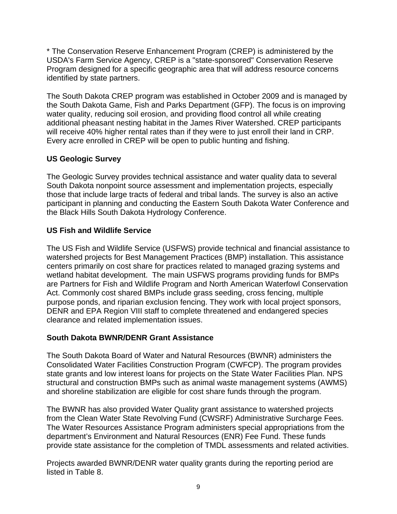\* The Conservation Reserve Enhancement Program (CREP) is administered by the USDA's Farm Service Agency, CREP is a "state-sponsored" Conservation Reserve Program designed for a specific geographic area that will address resource concerns identified by state partners.

The South Dakota CREP program was established in October 2009 and is managed by the South Dakota Game, Fish and Parks Department (GFP). The focus is on improving water quality, reducing soil erosion, and providing flood control all while creating additional pheasant nesting habitat in the James River Watershed. CREP participants will receive 40% higher rental rates than if they were to just enroll their land in CRP. Every acre enrolled in CREP will be open to public hunting and fishing.

## **US Geologic Survey**

The Geologic Survey provides technical assistance and water quality data to several South Dakota nonpoint source assessment and implementation projects, especially those that include large tracts of federal and tribal lands. The survey is also an active participant in planning and conducting the Eastern South Dakota Water Conference and the Black Hills South Dakota Hydrology Conference.

## **US Fish and Wildlife Service**

The US Fish and Wildlife Service (USFWS) provide technical and financial assistance to watershed projects for Best Management Practices (BMP) installation. This assistance centers primarily on cost share for practices related to managed grazing systems and wetland habitat development. The main USFWS programs providing funds for BMPs are Partners for Fish and Wildlife Program and North American Waterfowl Conservation Act. Commonly cost shared BMPs include grass seeding, cross fencing, multiple purpose ponds, and riparian exclusion fencing. They work with local project sponsors, DENR and EPA Region VIII staff to complete threatened and endangered species clearance and related implementation issues.

## **South Dakota BWNR/DENR Grant Assistance**

The South Dakota Board of Water and Natural Resources (BWNR) administers the Consolidated Water Facilities Construction Program (CWFCP). The program provides state grants and low interest loans for projects on the State Water Facilities Plan. NPS structural and construction BMPs such as animal waste management systems (AWMS) and shoreline stabilization are eligible for cost share funds through the program.

The BWNR has also provided Water Quality grant assistance to watershed projects from the Clean Water State Revolving Fund (CWSRF) Administrative Surcharge Fees. The Water Resources Assistance Program administers special appropriations from the department's Environment and Natural Resources (ENR) Fee Fund. These funds provide state assistance for the completion of TMDL assessments and related activities.

Projects awarded BWNR/DENR water quality grants during the reporting period are listed in Table 8.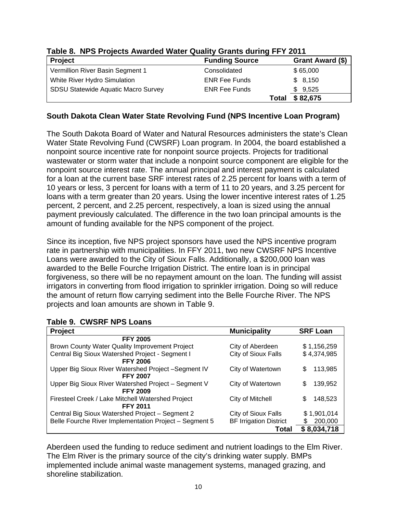| $10000$ of the $\sigma$ frequence $\sigma$ frequence $\sigma$ and $\sigma$ $\sigma$ and $\sigma$ and $\sigma$ is the following the first frequence of $\sigma$ |                       |                   |
|----------------------------------------------------------------------------------------------------------------------------------------------------------------|-----------------------|-------------------|
| <b>Project</b>                                                                                                                                                 | <b>Funding Source</b> | Grant Award (\$)  |
| Vermillion River Basin Segment 1                                                                                                                               | Consolidated          | \$65,000          |
| White River Hydro Simulation                                                                                                                                   | <b>ENR Fee Funds</b>  | \$8,150           |
| <b>SDSU Statewide Aquatic Macro Survey</b>                                                                                                                     | <b>ENR Fee Funds</b>  | \$9,525           |
|                                                                                                                                                                |                       | \$82,675<br>Total |

## **Table 8. NPS Projects Awarded Water Quality Grants during FFY 2011**

#### **South Dakota Clean Water State Revolving Fund (NPS Incentive Loan Program)**

The South Dakota Board of Water and Natural Resources administers the state's Clean Water State Revolving Fund (CWSRF) Loan program. In 2004, the board established a nonpoint source incentive rate for nonpoint source projects. Projects for traditional wastewater or storm water that include a nonpoint source component are eligible for the nonpoint source interest rate. The annual principal and interest payment is calculated for a loan at the current base SRF interest rates of 2.25 percent for loans with a term of 10 years or less, 3 percent for loans with a term of 11 to 20 years, and 3.25 percent for loans with a term greater than 20 years. Using the lower incentive interest rates of 1.25 percent, 2 percent, and 2.25 percent, respectively, a loan is sized using the annual payment previously calculated. The difference in the two loan principal amounts is the amount of funding available for the NPS component of the project.

Since its inception, five NPS project sponsors have used the NPS incentive program rate in partnership with municipalities. In FFY 2011, two new CWSRF NPS Incentive Loans were awarded to the City of Sioux Falls. Additionally, a \$200,000 loan was awarded to the Belle Fourche Irrigation District. The entire loan is in principal forgiveness, so there will be no repayment amount on the loan. The funding will assist irrigators in converting from flood irrigation to sprinkler irrigation. Doing so will reduce the amount of return flow carrying sediment into the Belle Fourche River. The NPS projects and loan amounts are shown in Table 9.

| Table 9. CWSRF NPS Loans |
|--------------------------|
|--------------------------|

| Project                                                | <b>Municipality</b>           | <b>SRF Loan</b> |
|--------------------------------------------------------|-------------------------------|-----------------|
| <b>FFY 2005</b>                                        |                               |                 |
| Brown County Water Quality Improvement Project         | City of Aberdeen              | \$1,156,259     |
| Central Big Sioux Watershed Project - Segment I        | City of Sioux Falls           | \$4,374,985     |
| <b>FFY 2006</b>                                        |                               |                 |
| Upper Big Sioux River Watershed Project -Segment IV    | City of Watertown             | 113,985<br>S    |
| <b>FFY 2007</b>                                        |                               |                 |
| Upper Big Sioux River Watershed Project - Segment V    | City of Watertown             | 139,952<br>\$   |
| <b>FFY 2009</b>                                        |                               |                 |
| Firesteel Creek / Lake Mitchell Watershed Project      | City of Mitchell              | 148,523<br>S    |
| <b>FFY 2011</b>                                        |                               |                 |
| Central Big Sioux Watershed Project - Segment 2        | City of Sioux Falls           | \$1,901,014     |
| Belle Fourche River Implementation Project - Segment 5 | <b>BF Irrigation District</b> | 200,000<br>S.   |
|                                                        | Total                         | \$8,034,718     |

Aberdeen used the funding to reduce sediment and nutrient loadings to the Elm River. The Elm River is the primary source of the city's drinking water supply. BMPs implemented include animal waste management systems, managed grazing, and shoreline stabilization.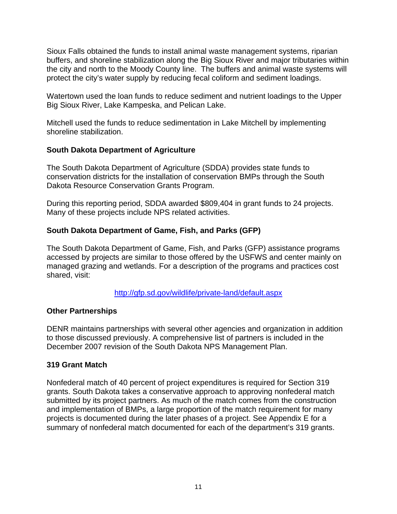Sioux Falls obtained the funds to install animal waste management systems, riparian buffers, and shoreline stabilization along the Big Sioux River and major tributaries within the city and north to the Moody County line. The buffers and animal waste systems will protect the city's water supply by reducing fecal coliform and sediment loadings.

Watertown used the loan funds to reduce sediment and nutrient loadings to the Upper Big Sioux River, Lake Kampeska, and Pelican Lake.

Mitchell used the funds to reduce sedimentation in Lake Mitchell by implementing shoreline stabilization.

#### **South Dakota Department of Agriculture**

The South Dakota Department of Agriculture (SDDA) provides state funds to conservation districts for the installation of conservation BMPs through the South Dakota Resource Conservation Grants Program.

During this reporting period, SDDA awarded \$809,404 in grant funds to 24 projects. Many of these projects include NPS related activities.

#### **South Dakota Department of Game, Fish, and Parks (GFP)**

The South Dakota Department of Game, Fish, and Parks (GFP) assistance programs accessed by projects are similar to those offered by the USFWS and center mainly on managed grazing and wetlands. For a description of the programs and practices cost shared, visit:

http://gfp.sd.gov/wildlife/private-land/default.aspx

#### **Other Partnerships**

DENR maintains partnerships with several other agencies and organization in addition to those discussed previously. A comprehensive list of partners is included in the December 2007 revision of the South Dakota NPS Management Plan.

#### **319 Grant Match**

Nonfederal match of 40 percent of project expenditures is required for Section 319 grants. South Dakota takes a conservative approach to approving nonfederal match submitted by its project partners. As much of the match comes from the construction and implementation of BMPs, a large proportion of the match requirement for many projects is documented during the later phases of a project. See Appendix E for a summary of nonfederal match documented for each of the department's 319 grants.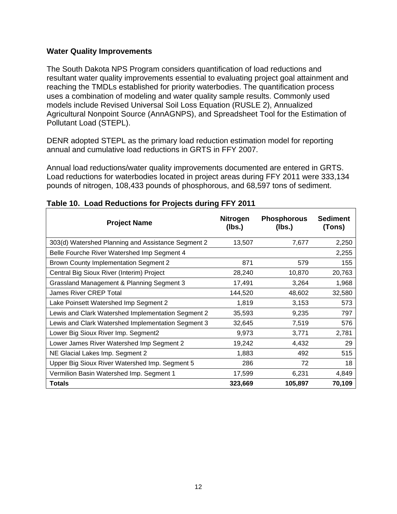#### **Water Quality Improvements**

The South Dakota NPS Program considers quantification of load reductions and resultant water quality improvements essential to evaluating project goal attainment and reaching the TMDLs established for priority waterbodies. The quantification process uses a combination of modeling and water quality sample results. Commonly used models include Revised Universal Soil Loss Equation (RUSLE 2), Annualized Agricultural Nonpoint Source (AnnAGNPS), and Spreadsheet Tool for the Estimation of Pollutant Load (STEPL).

DENR adopted STEPL as the primary load reduction estimation model for reporting annual and cumulative load reductions in GRTS in FFY 2007.

Annual load reductions/water quality improvements documented are entered in GRTS. Load reductions for waterbodies located in project areas during FFY 2011 were 333,134 pounds of nitrogen, 108,433 pounds of phosphorous, and 68,597 tons of sediment.

| <b>Project Name</b>                                | <b>Nitrogen</b><br>(lbs.) | <b>Phosphorous</b><br>(Ibs.) | <b>Sediment</b><br>(Tons) |
|----------------------------------------------------|---------------------------|------------------------------|---------------------------|
| 303(d) Watershed Planning and Assistance Segment 2 | 13,507                    | 7,677                        | 2,250                     |
| Belle Fourche River Watershed Imp Segment 4        |                           |                              | 2,255                     |
| <b>Brown County Implementation Segment 2</b>       | 871                       | 579                          | 155                       |
| Central Big Sioux River (Interim) Project          | 28,240                    | 10,870                       | 20,763                    |
| Grassland Management & Planning Segment 3          | 17,491                    | 3,264                        | 1,968                     |
| <b>James River CREP Total</b>                      | 144,520                   | 48,602                       | 32,580                    |
| Lake Poinsett Watershed Imp Segment 2              | 1,819                     | 3,153                        | 573                       |
| Lewis and Clark Watershed Implementation Segment 2 | 35,593                    | 9,235                        | 797                       |
| Lewis and Clark Watershed Implementation Segment 3 | 32,645                    | 7,519                        | 576                       |
| Lower Big Sioux River Imp. Segment2                | 9,973                     | 3,771                        | 2,781                     |
| Lower James River Watershed Imp Segment 2          | 19,242                    | 4,432                        | 29                        |
| NE Glacial Lakes Imp. Segment 2                    | 1,883                     | 492                          | 515                       |
| Upper Big Sioux River Watershed Imp. Segment 5     | 286                       | 72                           | 18                        |
| Vermilion Basin Watershed Imp. Segment 1           | 17,599                    | 6,231                        | 4,849                     |
| <b>Totals</b>                                      | 323,669                   | 105,897                      | 70,109                    |

#### **Table 10. Load Reductions for Projects during FFY 2011**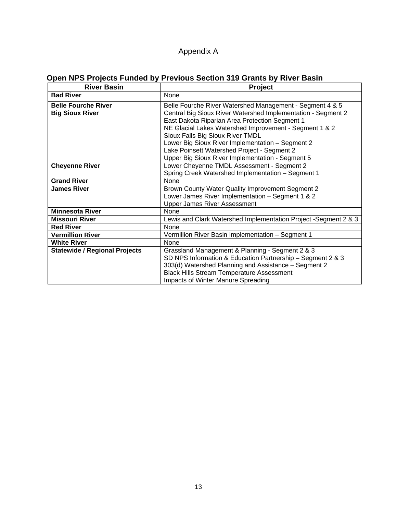## Appendix A

# **Open NPS Projects Funded by Previous Section 319 Grants by River Basin**

| <b>River Basin</b>                   | <b>Project</b>                                                  |  |  |
|--------------------------------------|-----------------------------------------------------------------|--|--|
| <b>Bad River</b>                     | None                                                            |  |  |
| <b>Belle Fourche River</b>           | Belle Fourche River Watershed Management - Segment 4 & 5        |  |  |
| <b>Big Sioux River</b>               | Central Big Sioux River Watershed Implementation - Segment 2    |  |  |
|                                      | East Dakota Riparian Area Protection Segment 1                  |  |  |
|                                      | NE Glacial Lakes Watershed Improvement - Segment 1 & 2          |  |  |
|                                      | Sioux Falls Big Sioux River TMDL                                |  |  |
|                                      | Lower Big Sioux River Implementation - Segment 2                |  |  |
|                                      | Lake Poinsett Watershed Project - Segment 2                     |  |  |
|                                      | Upper Big Sioux River Implementation - Segment 5                |  |  |
| <b>Cheyenne River</b>                | Lower Cheyenne TMDL Assessment - Segment 2                      |  |  |
|                                      | Spring Creek Watershed Implementation - Segment 1               |  |  |
| <b>Grand River</b>                   | <b>None</b>                                                     |  |  |
| <b>James River</b>                   | Brown County Water Quality Improvement Segment 2                |  |  |
|                                      | Lower James River Implementation - Segment 1 & 2                |  |  |
|                                      | <b>Upper James River Assessment</b>                             |  |  |
| <b>Minnesota River</b>               | <b>None</b>                                                     |  |  |
| <b>Missouri River</b>                | Lewis and Clark Watershed Implementation Project -Segment 2 & 3 |  |  |
| <b>Red River</b>                     | <b>None</b>                                                     |  |  |
| <b>Vermillion River</b>              | Vermillion River Basin Implementation - Segment 1               |  |  |
| <b>White River</b>                   | <b>None</b>                                                     |  |  |
| <b>Statewide / Regional Projects</b> | Grassland Management & Planning - Segment 2 & 3                 |  |  |
|                                      | SD NPS Information & Education Partnership - Segment 2 & 3      |  |  |
|                                      | 303(d) Watershed Planning and Assistance - Segment 2            |  |  |
|                                      | <b>Black Hills Stream Temperature Assessment</b>                |  |  |
|                                      | Impacts of Winter Manure Spreading                              |  |  |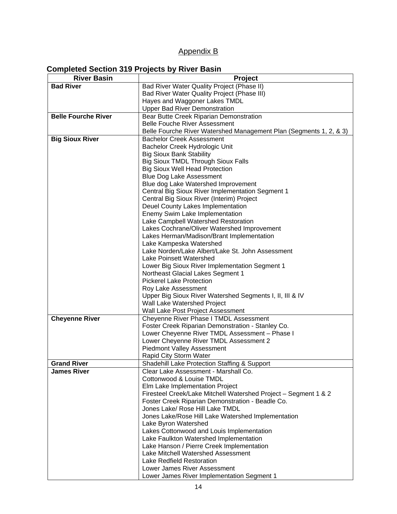## Appendix B

#### **Completed Section 319 Projects by River Basin**

| <b>River Basin</b>         | Project                                                              |  |  |
|----------------------------|----------------------------------------------------------------------|--|--|
| <b>Bad River</b>           | Bad River Water Quality Project (Phase II)                           |  |  |
|                            | Bad River Water Quality Project (Phase III)                          |  |  |
|                            | Hayes and Waggoner Lakes TMDL                                        |  |  |
|                            | <b>Upper Bad River Demonstration</b>                                 |  |  |
| <b>Belle Fourche River</b> | Bear Butte Creek Riparian Demonstration                              |  |  |
|                            | <b>Belle Fouche River Assessment</b>                                 |  |  |
|                            | Belle Fourche River Watershed Management Plan (Segments 1, 2, & 3)   |  |  |
| <b>Big Sioux River</b>     | <b>Bachelor Creek Assessment</b>                                     |  |  |
|                            | Bachelor Creek Hydrologic Unit                                       |  |  |
|                            | <b>Big Sioux Bank Stability</b>                                      |  |  |
|                            | <b>Big Sioux TMDL Through Sioux Falls</b>                            |  |  |
|                            | <b>Big Sioux Well Head Protection</b>                                |  |  |
|                            | <b>Blue Dog Lake Assessment</b>                                      |  |  |
|                            | Blue dog Lake Watershed Improvement                                  |  |  |
|                            | Central Big Sioux River Implementation Segment 1                     |  |  |
|                            | Central Big Sioux River (Interim) Project                            |  |  |
|                            | Deuel County Lakes Implementation                                    |  |  |
|                            | Enemy Swim Lake Implementation                                       |  |  |
|                            | Lake Campbell Watershed Restoration                                  |  |  |
|                            | Lakes Cochrane/Oliver Watershed Improvement                          |  |  |
|                            | Lakes Herman/Madison/Brant Implementation                            |  |  |
|                            | Lake Kampeska Watershed                                              |  |  |
|                            | Lake Norden/Lake Albert/Lake St. John Assessment                     |  |  |
|                            | Lake Poinsett Watershed                                              |  |  |
|                            | Lower Big Sioux River Implementation Segment 1                       |  |  |
|                            | Northeast Glacial Lakes Segment 1<br><b>Pickerel Lake Protection</b> |  |  |
|                            | Roy Lake Assessment                                                  |  |  |
|                            | Upper Big Sioux River Watershed Segments I, II, III & IV             |  |  |
|                            | Wall Lake Watershed Project                                          |  |  |
|                            | Wall Lake Post Project Assessment                                    |  |  |
| <b>Cheyenne River</b>      | Cheyenne River Phase I TMDL Assessment                               |  |  |
|                            | Foster Creek Riparian Demonstration - Stanley Co.                    |  |  |
|                            | Lower Cheyenne River TMDL Assessment - Phase I                       |  |  |
|                            | Lower Cheyenne River TMDL Assessment 2                               |  |  |
|                            | <b>Piedmont Valley Assessment</b>                                    |  |  |
|                            | Rapid City Storm Water                                               |  |  |
| <b>Grand River</b>         | Shadehill Lake Protection Staffing & Support                         |  |  |
| <b>James River</b>         | Clear Lake Assessment - Marshall Co.                                 |  |  |
|                            | Cottonwood & Louise TMDL                                             |  |  |
|                            | Elm Lake Implementation Project                                      |  |  |
|                            | Firesteel Creek/Lake Mitchell Watershed Project - Segment 1 & 2      |  |  |
|                            | Foster Creek Riparian Demonstration - Beadle Co.                     |  |  |
|                            | Jones Lake/ Rose Hill Lake TMDL                                      |  |  |
|                            | Jones Lake/Rose Hill Lake Watershed Implementation                   |  |  |
|                            | Lake Byron Watershed                                                 |  |  |
|                            | Lakes Cottonwood and Louis Implementation                            |  |  |
|                            | Lake Faulkton Watershed Implementation                               |  |  |
|                            | Lake Hanson / Pierre Creek Implementation                            |  |  |
|                            | Lake Mitchell Watershed Assessment                                   |  |  |
|                            | Lake Redfield Restoration                                            |  |  |
|                            | Lower James River Assessment                                         |  |  |
|                            | Lower James River Implementation Segment 1                           |  |  |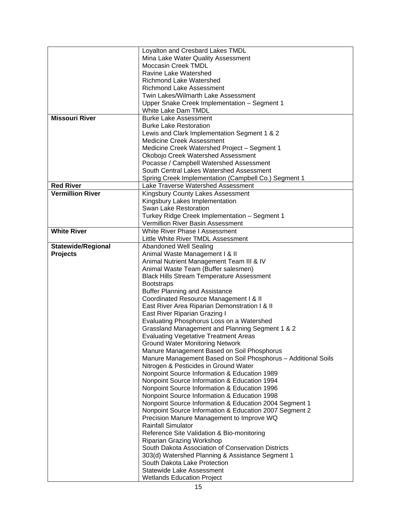|                           | Loyalton and Cresbard Lakes TMDL                              |  |  |
|---------------------------|---------------------------------------------------------------|--|--|
|                           | Mina Lake Water Quality Assessment                            |  |  |
|                           | <b>Moccasin Creek TMDL</b>                                    |  |  |
|                           | Ravine Lake Watershed                                         |  |  |
|                           | <b>Richmond Lake Watershed</b>                                |  |  |
|                           | <b>Richmond Lake Assessment</b>                               |  |  |
|                           | Twin Lakes/Wilmarth Lake Assessment                           |  |  |
|                           | Upper Snake Creek Implementation - Segment 1                  |  |  |
|                           | White Lake Dam TMDL                                           |  |  |
| <b>Missouri River</b>     | <b>Burke Lake Assessment</b>                                  |  |  |
|                           |                                                               |  |  |
|                           | <b>Burke Lake Restoration</b>                                 |  |  |
|                           | Lewis and Clark Implementation Segment 1 & 2                  |  |  |
|                           | <b>Medicine Creek Assessment</b>                              |  |  |
|                           | Medicine Creek Watershed Project - Segment 1                  |  |  |
|                           | Okobojo Creek Watershed Assessment                            |  |  |
|                           | Pocasse / Campbell Watershed Assessment                       |  |  |
|                           | South Central Lakes Watershed Assessment                      |  |  |
|                           | Spring Creek Implementation (Campbell Co.) Segment 1          |  |  |
| <b>Red River</b>          | Lake Traverse Watershed Assessment                            |  |  |
| <b>Vermillion River</b>   | Kingsbury County Lakes Assessment                             |  |  |
|                           | Kingsbury Lakes Implementation                                |  |  |
|                           | Swan Lake Restoration                                         |  |  |
|                           | Turkey Ridge Creek Implementation - Segment 1                 |  |  |
|                           | Vermillion River Basin Assessment                             |  |  |
| <b>White River</b>        | White River Phase I Assessment                                |  |  |
|                           | Little White River TMDL Assessment                            |  |  |
| <b>Statewide/Regional</b> | <b>Abandoned Well Sealing</b>                                 |  |  |
| <b>Projects</b>           | Animal Waste Management I & II                                |  |  |
|                           | Animal Nutrient Management Team III & IV                      |  |  |
|                           | Animal Waste Team (Buffer salesmen)                           |  |  |
|                           | <b>Black Hills Stream Temperature Assessment</b>              |  |  |
|                           | <b>Bootstraps</b>                                             |  |  |
|                           | <b>Buffer Planning and Assistance</b>                         |  |  |
|                           | Coordinated Resource Management I & II                        |  |  |
|                           | East River Area Riparian Demonstration I & II                 |  |  |
|                           | East River Riparian Grazing I                                 |  |  |
|                           | Evaluating Phosphorus Loss on a Watershed                     |  |  |
|                           | Grassland Management and Planning Segment 1 & 2               |  |  |
|                           | <b>Evaluating Vegetative Treatment Areas</b>                  |  |  |
|                           | <b>Ground Water Monitoring Network</b>                        |  |  |
|                           | Manure Management Based on Soil Phosphorus                    |  |  |
|                           | Manure Management Based on Soil Phosphorus - Additional Soils |  |  |
|                           | Nitrogen & Pesticides in Ground Water                         |  |  |
|                           | Nonpoint Source Information & Education 1989                  |  |  |
|                           | Nonpoint Source Information & Education 1994                  |  |  |
|                           | Nonpoint Source Information & Education 1996                  |  |  |
|                           | Nonpoint Source Information & Education 1998                  |  |  |
|                           |                                                               |  |  |
|                           | Nonpoint Source Information & Education 2004 Segment 1        |  |  |
|                           | Nonpoint Source Information & Education 2007 Segment 2        |  |  |
|                           | Precision Manure Management to Improve WQ                     |  |  |
|                           | <b>Rainfall Simulator</b>                                     |  |  |
|                           | Reference Site Validation & Bio-monitoring                    |  |  |
|                           | <b>Riparian Grazing Workshop</b>                              |  |  |
|                           | South Dakota Association of Conservation Districts            |  |  |
|                           | 303(d) Watershed Planning & Assistance Segment 1              |  |  |
|                           | South Dakota Lake Protection                                  |  |  |
|                           | <b>Statewide Lake Assessment</b>                              |  |  |
|                           | <b>Wetlands Education Project</b>                             |  |  |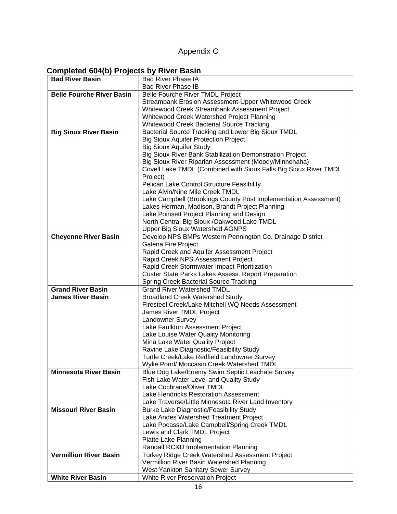## Appendix C

## **Completed 604(b) Projects by River Basin**

| <b>Bad River Basin</b>           | <b>Bad River Phase IA</b>                                                                |
|----------------------------------|------------------------------------------------------------------------------------------|
|                                  | <b>Bad River Phase IB</b>                                                                |
| <b>Belle Fourche River Basin</b> | Belle Fourche River TMDL Project                                                         |
|                                  | Streambank Erosion Assessment-Upper Whitewood Creek                                      |
|                                  | Whitewood Creek Streambank Assessment Project                                            |
|                                  | Whitewood Creek Watershed Project Planning                                               |
|                                  | Whitewood Creek Bacterial Source Tracking                                                |
| <b>Big Sioux River Basin</b>     | Bacterial Source Tracking and Lower Big Sioux TMDL                                       |
|                                  | <b>Big Sioux Aquifer Protection Project</b>                                              |
|                                  | <b>Big Sioux Aquifer Study</b>                                                           |
|                                  | Big Sioux River Bank Stabilization Demonstration Project                                 |
|                                  | Big Sioux River Riparian Assessment (Moody/Minnehaha)                                    |
|                                  | Covell Lake TMDL (Combined with Sioux Falls Big Sioux River TMDL                         |
|                                  | Project)                                                                                 |
|                                  | Pelican Lake Control Structure Feasibility                                               |
|                                  | Lake Alvin/Nine Mile Creek TMDL                                                          |
|                                  | Lake Campbell (Brookings County Post Implementation Assessment)                          |
|                                  | Lakes Herman, Madison, Brandt Project Planning                                           |
|                                  | Lake Poinsett Project Planning and Design                                                |
|                                  | North Central Big Sioux /Oakwood Lake TMDL                                               |
|                                  | <b>Upper Big Sioux Watershed AGNPS</b>                                                   |
| <b>Cheyenne River Basin</b>      | Develop NPS BMPs Western Pennington Co. Drainage District                                |
|                                  | Galena Fire Project                                                                      |
|                                  | Rapid Creek and Aquifer Assessment Project                                               |
|                                  | Rapid Creek NPS Assessment Project                                                       |
|                                  | Rapid Creek Stormwater Impact Prioritization                                             |
|                                  | Custer State Parks Lakes Assess. Report Preparation                                      |
|                                  | <b>Spring Creek Bacterial Source Tracking</b>                                            |
| <b>Grand River Basin</b>         | <b>Grand River Watershed TMDL</b>                                                        |
| <b>James River Basin</b>         | <b>Broadland Creek Watershed Study</b>                                                   |
|                                  | Firesteel Creek/Lake Mitchell WQ Needs Assessment                                        |
|                                  | James River TMDL Project                                                                 |
|                                  | Landowner Survey                                                                         |
|                                  | Lake Faulkton Assessment Project                                                         |
|                                  | Lake Louise Water Quality Monitoring                                                     |
|                                  | Mina Lake Water Quality Project                                                          |
|                                  | Ravine Lake Diagnostic/Feasibility Study                                                 |
|                                  | Turtle Creek/Lake Redfield Landowner Survey<br>Wylie Pond/ Moccasin Creek Watershed TMDL |
| <b>Minnesota River Basin</b>     |                                                                                          |
|                                  | Blue Dog Lake/Enemy Swim Septic Leachate Survey                                          |
|                                  | Fish Lake Water Level and Quality Study<br>Lake Cochrane/Oliver TMDL                     |
|                                  | Lake Hendricks Restoration Assessment                                                    |
|                                  | Lake Traverse/Little Minnesota River Land Inventory                                      |
| <b>Missouri River Basin</b>      | Burke Lake Diagnostic/Feasibility Study                                                  |
|                                  | Lake Andes Watershed Treatment Project                                                   |
|                                  | Lake Pocasse/Lake Campbell/Spring Creek TMDL                                             |
|                                  | Lewis and Clark TMDL Project                                                             |
|                                  | Platte Lake Planning                                                                     |
|                                  | Randall RC&D Implementation Planning                                                     |
| <b>Vermillion River Basin</b>    | Turkey Ridge Creek Watershed Assessment Project                                          |
|                                  | Vermillion River Basin Watershed Planning                                                |
|                                  | West Yankton Sanitary Sewer Survey                                                       |
| <b>White River Basin</b>         | White River Preservation Project                                                         |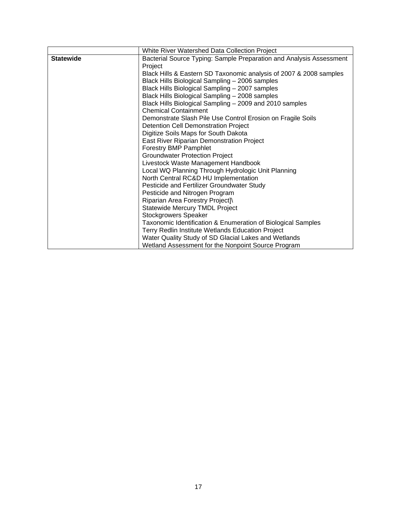|                  | White River Watershed Data Collection Project                       |  |  |
|------------------|---------------------------------------------------------------------|--|--|
| <b>Statewide</b> | Bacterial Source Typing: Sample Preparation and Analysis Assessment |  |  |
|                  | Project                                                             |  |  |
|                  | Black Hills & Eastern SD Taxonomic analysis of 2007 & 2008 samples  |  |  |
|                  | Black Hills Biological Sampling - 2006 samples                      |  |  |
|                  | Black Hills Biological Sampling - 2007 samples                      |  |  |
|                  | Black Hills Biological Sampling - 2008 samples                      |  |  |
|                  | Black Hills Biological Sampling - 2009 and 2010 samples             |  |  |
|                  | <b>Chemical Containment</b>                                         |  |  |
|                  | Demonstrate Slash Pile Use Control Erosion on Fragile Soils         |  |  |
|                  | <b>Detention Cell Demonstration Project</b>                         |  |  |
|                  | Digitize Soils Maps for South Dakota                                |  |  |
|                  | East River Riparian Demonstration Project                           |  |  |
|                  | <b>Forestry BMP Pamphlet</b>                                        |  |  |
|                  | <b>Groundwater Protection Project</b>                               |  |  |
|                  | Livestock Waste Management Handbook                                 |  |  |
|                  | Local WQ Planning Through Hydrologic Unit Planning                  |  |  |
|                  | North Central RC&D HU Implementation                                |  |  |
|                  | Pesticide and Fertilizer Groundwater Study                          |  |  |
|                  | Pesticide and Nitrogen Program                                      |  |  |
|                  | Riparian Area Forestry Project]\                                    |  |  |
|                  | <b>Statewide Mercury TMDL Project</b>                               |  |  |
|                  | <b>Stockgrowers Speaker</b>                                         |  |  |
|                  | Taxonomic Identification & Enumeration of Biological Samples        |  |  |
|                  | Terry Redlin Institute Wetlands Education Project                   |  |  |
|                  | Water Quality Study of SD Glacial Lakes and Wetlands                |  |  |
|                  | Wetland Assessment for the Nonpoint Source Program                  |  |  |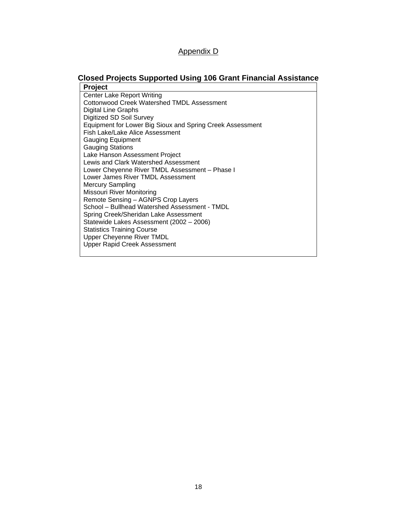#### Appendix D

## **Closed Projects Supported Using 106 Grant Financial Assistance**

**Project**  Center Lake Report Writing Cottonwood Creek Watershed TMDL Assessment Digital Line Graphs Digitized SD Soil Survey Equipment for Lower Big Sioux and Spring Creek Assessment Fish Lake/Lake Alice Assessment Gauging Equipment Gauging Stations Lake Hanson Assessment Project Lewis and Clark Watershed Assessment Lower Cheyenne River TMDL Assessment – Phase I Lower James River TMDL Assessment Mercury Sampling Missouri River Monitoring Remote Sensing – AGNPS Crop Layers School – Bullhead Watershed Assessment - TMDL Spring Creek/Sheridan Lake Assessment Statewide Lakes Assessment (2002 – 2006) Statistics Training Course Upper Cheyenne River TMDL Upper Rapid Creek Assessment